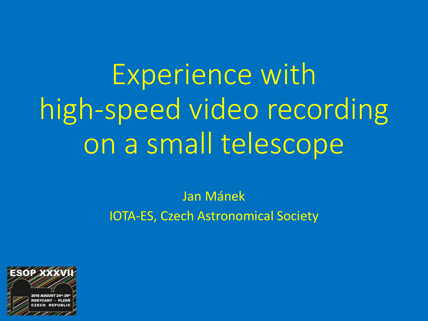Experience with high-speed video recording on a small telescope

> Jan Mánek IOTA-ES, Czech Astronomical Society

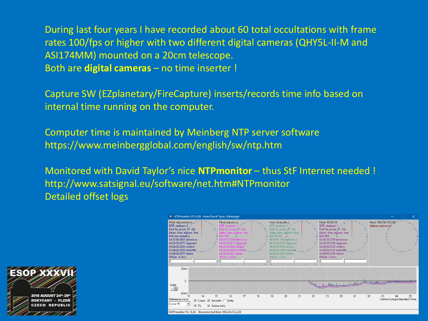During last four years I have recorded about 60 total occultations with frame rates 100/fps or higher with two different digital cameras (QHY5L-II-M and ASI174MM) mounted on a 20cm telescope. Both are **digital cameras** – no time inserter !

Capture SW (EZplanetary/FireCapture) inserts/records time info based on internal time running on the computer.

Computer time is maintained by Meinberg NTP server software https://www.meinbergglobal.com/english/sw/ntp.htm

Monitored with David Taylor's nice **NTPmonitor** – thus StF Internet needed ! http://www.satsignal.eu/software/net.htm#NTPmonitor Detailed offset logs



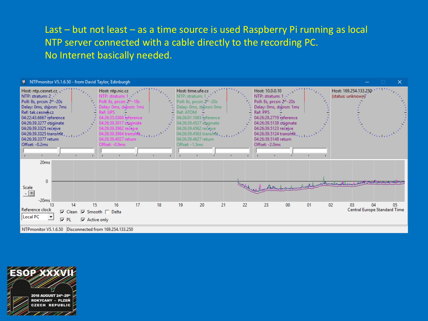## Last – but not least – as a time source is used Raspberry Pi running as local NTP server connected with a cable directly to the recording PC. No Internet basically needed.



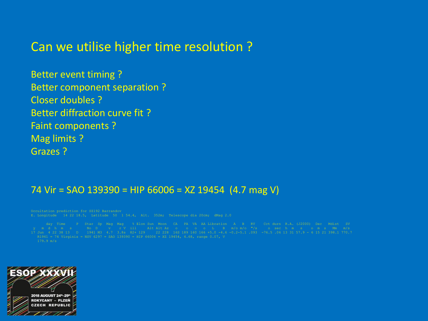## Can we utilise higher time resolution ?

Better event timing ? Better component separation ? Closer doubles ? Better diffraction curve fit ? Faint components ? Mag limits ? Grazes ?

## 74 Vir = SAO 139390 = HIP 66006 = XZ 19454 (4.7 mag V)

R1941 = 74 Virginis = NSV 6297 = SAO 139390 = HIP 66006 = XZ 19454, 4.68, range 0.07, V 179.9 m/s

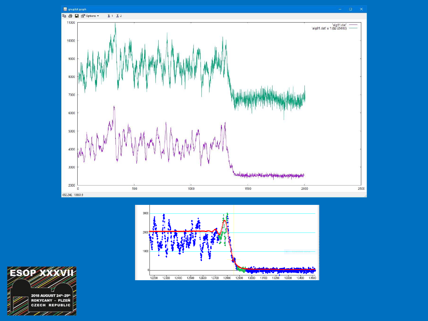



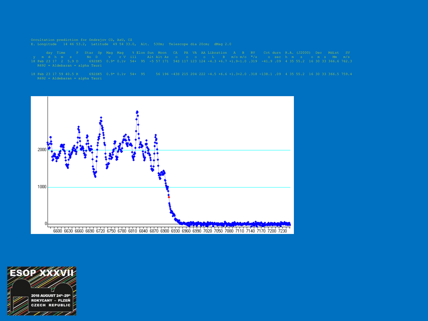

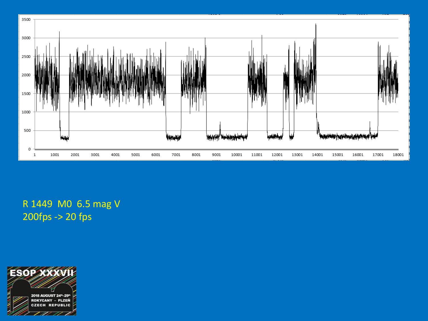

R 1449 MO 6.5 mag V 200fps -> 20 fps